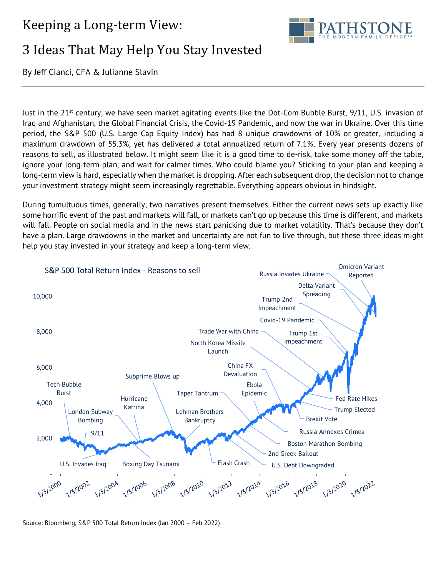## Keeping a Long-term View:



# 3 Ideas That May Help You Stay Invested

By Jeff Cianci, CFA & Julianne Slavin

Just in the 21<sup>st</sup> century, we have seen market agitating events like the Dot-Com Bubble Burst, 9/11, U.S. invasion of Iraq and Afghanistan, the Global Financial Crisis, the Covid-19 Pandemic, and now the war in Ukraine. Over this time period, the S&P 500 (U.S. Large Cap Equity Index) has had 8 unique drawdowns of 10% or greater, including a maximum drawdown of 55.3%, yet has delivered a total annualized return of 7.1%. Every year presents dozens of reasons to sell, as illustrated below. It might seem like it is a good time to de-risk, take some money off the table, ignore your long-term plan, and wait for calmer times. Who could blame you? Sticking to your plan and keeping a long-term view is hard, especially when the market is dropping. After each subsequent drop, the decision not to change your investment strategy might seem increasingly regrettable. Everything appears obvious in hindsight.

During tumultuous times, generally, two narratives present themselves. Either the current news sets up exactly like some horrific event of the past and markets will fall, or markets can't go up because this time is different, and markets will fall. People on social media and in the news start panicking due to market volatility. That's because they don't have a plan. Large drawdowns in the market and uncertainty are not fun to live through, but these three ideas might help you stay invested in your strategy and keep a long-term view.



Source: Bloomberg, S&P 500 Total Return Index (Jan 2000 – Feb 2022)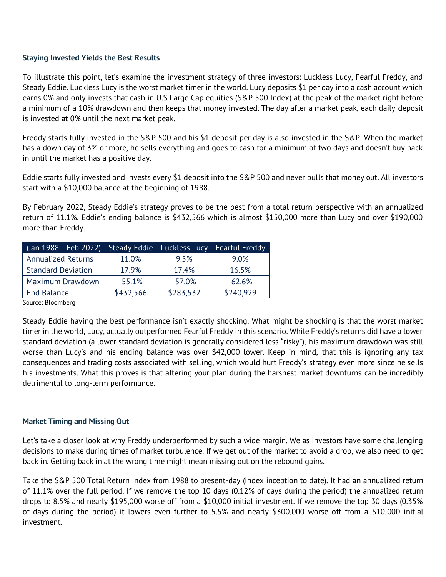### **Staying Invested Yields the Best Results**

To illustrate this point, let's examine the investment strategy of three investors: Luckless Lucy, Fearful Freddy, and Steady Eddie. Luckless Lucy is the worst market timer in the world. Lucy deposits \$1 per day into a cash account which earns 0% and only invests that cash in U.S Large Cap equities (S&P 500 Index) at the peak of the market right before a minimum of a 10% drawdown and then keeps that money invested. The day after a market peak, each daily deposit is invested at 0% until the next market peak.

Freddy starts fully invested in the S&P 500 and his \$1 deposit per day is also invested in the S&P. When the market has a down day of 3% or more, he sells everything and goes to cash for a minimum of two days and doesn't buy back in until the market has a positive day.

Eddie starts fully invested and invests every \$1 deposit into the S&P 500 and never pulls that money out. All investors start with a \$10,000 balance at the beginning of 1988.

By February 2022, Steady Eddie's strategy proves to be the best from a total return perspective with an annualized return of 11.1%. Eddie's ending balance is \$432,566 which is almost \$150,000 more than Lucy and over \$190,000 more than Freddy.

| (Jan 1988 - Feb 2022)     |           | Steady Eddie Luckless Lucy | Fearful Freddy |
|---------------------------|-----------|----------------------------|----------------|
| <b>Annualized Returns</b> | 11.0%     | 9.5%                       | 9.0%           |
| <b>Standard Deviation</b> | 17.9%     | 17.4%                      | 16.5%          |
| Maximum Drawdown          | $-55.1%$  | $-57.0%$                   | $-62.6%$       |
| <b>End Balance</b>        | \$432,566 | \$283,532                  | \$240,929      |

Source: Bloomberg

Steady Eddie having the best performance isn't exactly shocking. What might be shocking is that the worst market timer in the world, Lucy, actually outperformed Fearful Freddy in this scenario. While Freddy's returns did have a lower standard deviation (a lower standard deviation is generally considered less "risky"), his maximum drawdown was still worse than Lucy's and his ending balance was over \$42,000 lower. Keep in mind, that this is ignoring any tax consequences and trading costs associated with selling, which would hurt Freddy's strategy even more since he sells his investments. What this proves is that altering your plan during the harshest market downturns can be incredibly detrimental to long-term performance.

### **Market Timing and Missing Out**

Let's take a closer look at why Freddy underperformed by such a wide margin. We as investors have some challenging decisions to make during times of market turbulence. If we get out of the market to avoid a drop, we also need to get back in. Getting back in at the wrong time might mean missing out on the rebound gains.

Take the S&P 500 Total Return Index from 1988 to present-day (index inception to date). It had an annualized return of 11.1% over the full period. If we remove the top 10 days (0.12% of days during the period) the annualized return drops to 8.5% and nearly \$195,000 worse off from a \$10,000 initial investment. If we remove the top 30 days (0.35% of days during the period) it lowers even further to 5.5% and nearly \$300,000 worse off from a \$10,000 initial investment.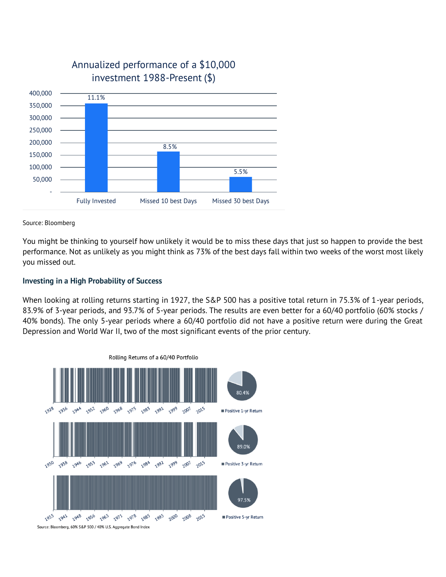

## Annualized performance of a \$10,000 investment 1988-Present (\$)

Source: Bloomberg

You might be thinking to yourself how unlikely it would be to miss these days that just so happen to provide the best performance. Not as unlikely as you might think as 73% of the best days fall within two weeks of the worst most likely you missed out.

### **Investing in a High Probability of Success**

When looking at rolling returns starting in 1927, the S&P 500 has a positive total return in 75.3% of 1-year periods, 83.9% of 3-year periods, and 93.7% of 5-year periods. The results are even better for a 60/40 portfolio (60% stocks / 40% bonds). The only 5-year periods where a 60/40 portfolio did not have a positive return were during the Great Depression and World War II, two of the most significant events of the prior century.